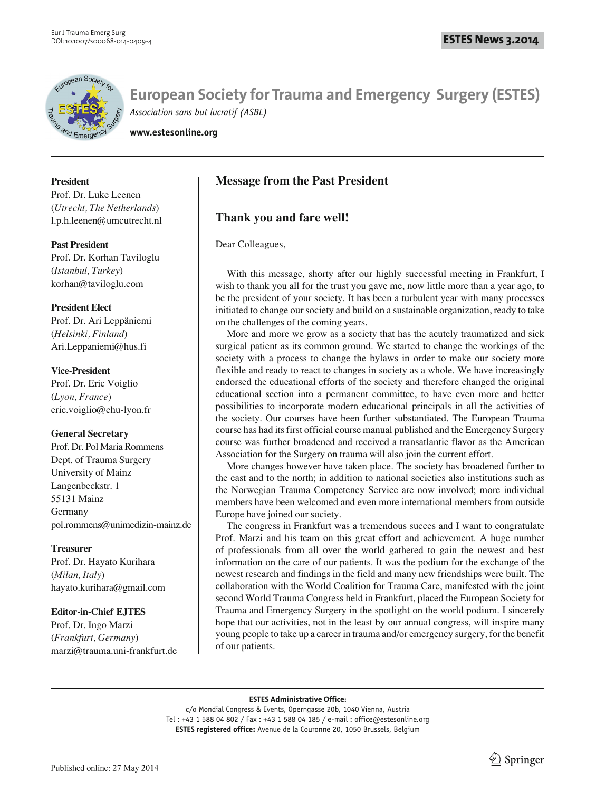

**European Society for Trauma and Emergency Surgery (ESTES)** *Association sans but lucratif (ASBL)*

**www.estesonline.org**

## **President**

Prof. Dr. Luke Leenen (*Utrecht, The Netherlands*) l.p.h.leenen@umcutrecht.nl

#### **Past President**

Prof. Dr. Korhan Taviloglu (*Istanbul, Turkey*) korhan@taviloglu.com

#### **President Elect**

Prof. Dr. Ari Leppäniemi (*Helsinki, Finland*) Ari.Leppaniemi@hus.fi

## **Vice-President**

Prof. Dr. Eric Voiglio (*Lyon, France*) eric.voiglio@chu-lyon.fr

#### **General Secretary**

Prof. Dr. Pol Maria Rommens Dept. of Trauma Surgery University of Mainz Langenbeckstr. 1 55131 Mainz Germany pol.rommens@unimedizin-mainz.de

# **Treasurer**

Prof. Dr. Hayato Kurihara (*Milan, Italy*) hayato.kurihara@gmail.com

# **Editor-in-Chief EJTES**

Prof. Dr. Ingo Marzi (*Frankfurt, Germany*) marzi@trauma.uni-frankfurt.de

# **Message from the Past President**

# **Thank you and fare well!**

Dear Colleagues,

With this message, shorty after our highly successful meeting in Frankfurt, I wish to thank you all for the trust you gave me, now little more than a year ago, to be the president of your society. It has been a turbulent year with many processes initiated to change our society and build on a sustainable organization, ready to take on the challenges of the coming years.

More and more we grow as a society that has the acutely traumatized and sick surgical patient as its common ground. We started to change the workings of the society with a process to change the bylaws in order to make our society more flexible and ready to react to changes in society as a whole. We have increasingly endorsed the educational efforts of the society and therefore changed the original educational section into a permanent committee, to have even more and better possibilities to incorporate modern educational principals in all the activities of the society. Our courses have been further substantiated. The European Trauma course has had its first official course manual published and the Emergency Surgery course was further broadened and received a transatlantic flavor as the American Association for the Surgery on trauma will also join the current effort.

More changes however have taken place. The society has broadened further to the east and to the north; in addition to national societies also institutions such as the Norwegian Trauma Competency Service are now involved; more individual members have been welcomed and even more international members from outside Europe have joined our society.

The congress in Frankfurt was a tremendous succes and I want to congratulate Prof. Marzi and his team on this great effort and achievement. A huge number of professionals from all over the world gathered to gain the newest and best information on the care of our patients. It was the podium for the exchange of the newest research and findings in the field and many new friendships were built. The collaboration with the World Coalition for Trauma Care, manifested with the joint second World Trauma Congress held in Frankfurt, placed the European Society for Trauma and Emergency Surgery in the spotlight on the world podium. I sincerely hope that our activities, not in the least by our annual congress, will inspire many young people to take up a career in trauma and/or emergency surgery, for the benefit of our patients.

#### **ESTES Administrative Office:**

c/o Mondial Congress & Events, Operngasse 20b, 1040 Vienna, Austria Tel : +43 1 588 04 802 / Fax : +43 1 588 04 185 / e-mail : office@estesonline.org **ESTES registered office:** Avenue de la Couronne 20, 1050 Brussels, Belgium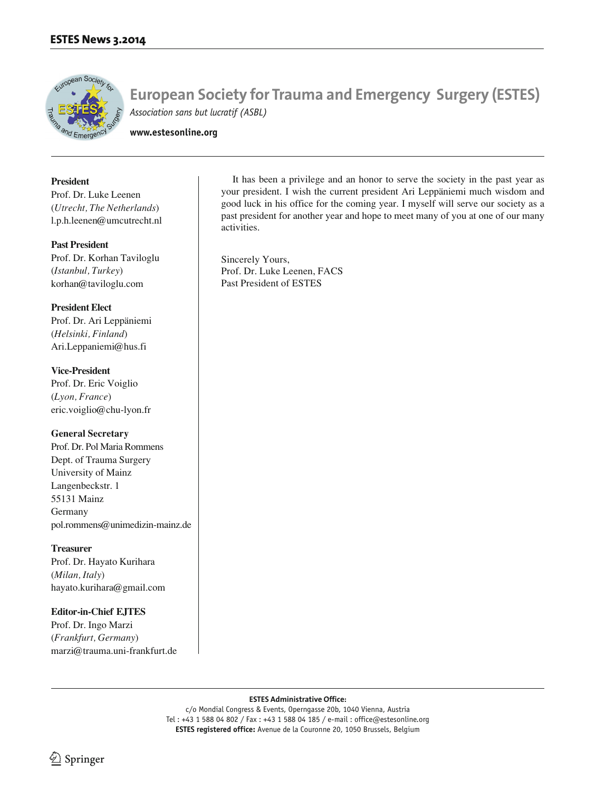

**European Society for Trauma and Emergency Surgery (ESTES)** *Association sans but lucratif (ASBL)*

**www.estesonline.org**

#### **President**

Prof. Dr. Luke Leenen (*Utrecht, The Netherlands*) l.p.h.leenen@umcutrecht.nl

#### **Past President**

Prof. Dr. Korhan Taviloglu (*Istanbul, Turkey*) korhan@taviloglu.com

#### **President Elect**

Prof. Dr. Ari Leppäniemi (*Helsinki, Finland*) Ari.Leppaniemi@hus.fi

## **Vice-President**

Prof. Dr. Eric Voiglio (*Lyon, France*) eric.voiglio@chu-lyon.fr

#### **General Secretary**

Prof. Dr. Pol Maria Rommens Dept. of Trauma Surgery University of Mainz Langenbeckstr. 1 55131 Mainz Germany pol.rommens@unimedizin-mainz.de

#### **Treasurer**

Prof. Dr. Hayato Kurihara (*Milan, Italy*) hayato.kurihara@gmail.com

# **Editor-in-Chief EJTES**

Prof. Dr. Ingo Marzi (*Frankfurt, Germany*) marzi@trauma.uni-frankfurt.de

It has been a privilege and an honor to serve the society in the past year as your president. I wish the current president Ari Leppäniemi much wisdom and good luck in his office for the coming year. I myself will serve our society as a past president for another year and hope to meet many of you at one of our many activities.

Sincerely Yours, Prof. Dr. Luke Leenen, FACS Past President of ESTES

#### **ESTES Administrative Office:**

c/o Mondial Congress & Events, Operngasse 20b, 1040 Vienna, Austria Tel : +43 1 588 04 802 / Fax : +43 1 588 04 185 / e-mail : office@estesonline.org **ESTES registered office:** Avenue de la Couronne 20, 1050 Brussels, Belgium